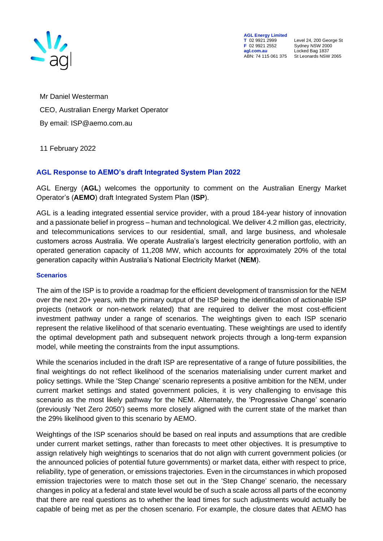

**AGL Energy Limited<br>
T** 02 9921 2999<br> **F** 02 9921 2552 **F** 02 9921 2552 Sydney NSW 2000 ABN: 74 115 061 375

**T** 02 9921 2999 Level 24, 200 George St **agl.com.au** Locked Bag 1837<br>ABN: 74 115 061 375 St Leonards NSW 2065

Mr Daniel Westerman CEO, Australian Energy Market Operator By email: ISP@aemo.com.au

11 February 2022

## **AGL Response to AEMO's draft Integrated System Plan 2022**

AGL Energy (**AGL**) welcomes the opportunity to comment on the Australian Energy Market Operator's (**AEMO**) draft Integrated System Plan (**ISP**).

AGL is a leading integrated essential service provider, with a proud 184-year history of innovation and a passionate belief in progress – human and technological. We deliver 4.2 million gas, electricity, and telecommunications services to our residential, small, and large business, and wholesale customers across Australia. We operate Australia's largest electricity generation portfolio, with an operated generation capacity of 11,208 MW, which accounts for approximately 20% of the total generation capacity within Australia's National Electricity Market (**NEM**).

## **Scenarios**

The aim of the ISP is to provide a roadmap for the efficient development of transmission for the NEM over the next 20+ years, with the primary output of the ISP being the identification of actionable ISP projects (network or non-network related) that are required to deliver the most cost-efficient investment pathway under a range of scenarios. The weightings given to each ISP scenario represent the relative likelihood of that scenario eventuating. These weightings are used to identify the optimal development path and subsequent network projects through a long-term expansion model, while meeting the constraints from the input assumptions.

While the scenarios included in the draft ISP are representative of a range of future possibilities, the final weightings do not reflect likelihood of the scenarios materialising under current market and policy settings. While the 'Step Change' scenario represents a positive ambition for the NEM, under current market settings and stated government policies, it is very challenging to envisage this scenario as the most likely pathway for the NEM. Alternately, the 'Progressive Change' scenario (previously 'Net Zero 2050') seems more closely aligned with the current state of the market than the 29% likelihood given to this scenario by AEMO.

Weightings of the ISP scenarios should be based on real inputs and assumptions that are credible under current market settings, rather than forecasts to meet other objectives. It is presumptive to assign relatively high weightings to scenarios that do not align with current government policies (or the announced policies of potential future governments) or market data, either with respect to price, reliability, type of generation, or emissions trajectories. Even in the circumstances in which proposed emission trajectories were to match those set out in the 'Step Change' scenario, the necessary changes in policy at a federal and state level would be of such a scale across all parts of the economy that there are real questions as to whether the lead times for such adjustments would actually be capable of being met as per the chosen scenario. For example, the closure dates that AEMO has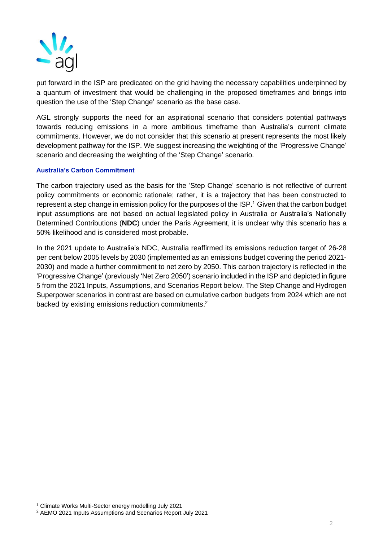

put forward in the ISP are predicated on the grid having the necessary capabilities underpinned by a quantum of investment that would be challenging in the proposed timeframes and brings into question the use of the 'Step Change' scenario as the base case.

AGL strongly supports the need for an aspirational scenario that considers potential pathways towards reducing emissions in a more ambitious timeframe than Australia's current climate commitments. However, we do not consider that this scenario at present represents the most likely development pathway for the ISP. We suggest increasing the weighting of the 'Progressive Change' scenario and decreasing the weighting of the 'Step Change' scenario.

## **Australia's Carbon Commitment**

The carbon trajectory used as the basis for the 'Step Change' scenario is not reflective of current policy commitments or economic rationale; rather, it is a trajectory that has been constructed to represent a step change in emission policy for the purposes of the ISP. <sup>1</sup> Given that the carbon budget input assumptions are not based on actual legislated policy in Australia or Australia's Nationally Determined Contributions (**NDC**) under the Paris Agreement, it is unclear why this scenario has a 50% likelihood and is considered most probable.

In the 2021 update to Australia's NDC, Australia reaffirmed its emissions reduction target of 26-28 per cent below 2005 levels by 2030 (implemented as an emissions budget covering the period 2021- 2030) and made a further commitment to net zero by 2050. This carbon trajectory is reflected in the 'Progressive Change' (previously 'Net Zero 2050') scenario included in the ISP and depicted in figure 5 from the 2021 Inputs, Assumptions, and Scenarios Report below. The Step Change and Hydrogen Superpower scenarios in contrast are based on cumulative carbon budgets from 2024 which are not backed by existing emissions reduction commitments.<sup>2</sup>

<sup>1</sup> Climate Works Multi-Sector energy modelling July 2021

<sup>2</sup> AEMO 2021 Inputs Assumptions and Scenarios Report July 2021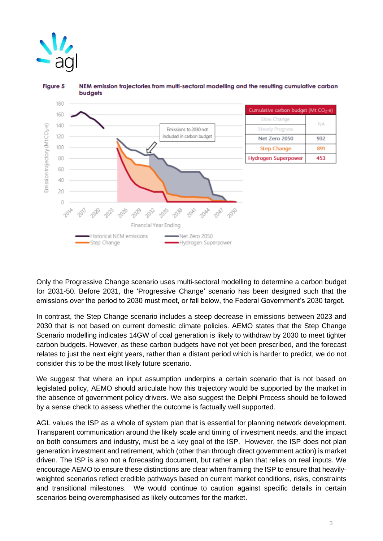



**Figure 5** NEM emission trajectories from multi-sectoral modelling and the resulting cumulative carbon

Only the Progressive Change scenario uses multi-sectoral modelling to determine a carbon budget for 2031-50. Before 2031, the 'Progressive Change' scenario has been designed such that the emissions over the period to 2030 must meet, or fall below, the Federal Government's 2030 target.

In contrast, the Step Change scenario includes a steep decrease in emissions between 2023 and 2030 that is not based on current domestic climate policies. AEMO states that the Step Change Scenario modelling indicates 14GW of coal generation is likely to withdraw by 2030 to meet tighter carbon budgets. However, as these carbon budgets have not yet been prescribed, and the forecast relates to just the next eight years, rather than a distant period which is harder to predict, we do not consider this to be the most likely future scenario.

We suggest that where an input assumption underpins a certain scenario that is not based on legislated policy, AEMO should articulate how this trajectory would be supported by the market in the absence of government policy drivers. We also suggest the Delphi Process should be followed by a sense check to assess whether the outcome is factually well supported.

AGL values the ISP as a whole of system plan that is essential for planning network development. Transparent communication around the likely scale and timing of investment needs, and the impact on both consumers and industry, must be a key goal of the ISP. However, the ISP does not plan generation investment and retirement, which (other than through direct government action) is market driven. The ISP is also not a forecasting document, but rather a plan that relies on real inputs. We encourage AEMO to ensure these distinctions are clear when framing the ISP to ensure that heavilyweighted scenarios reflect credible pathways based on current market conditions, risks, constraints and transitional milestones. We would continue to caution against specific details in certain scenarios being overemphasised as likely outcomes for the market.